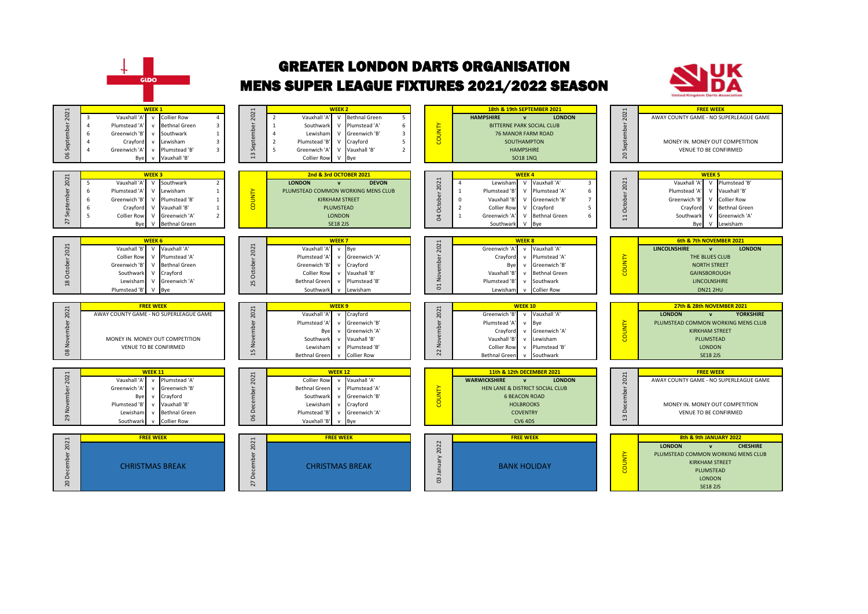

## GREATER LONDON DARTS ORGANISATION MENS SUPER LEAGUE FIXTURES 2021/2022 SEASON



| 2021<br>September<br>്ട          | <b>WEEK1</b><br>v Collier Row<br>Vauxhall '<br>3<br>Δ<br>$\mathbf{3}$<br>$\Delta$<br>Plumstead 'A<br><b>Bethnal Green</b><br>${\sf v}$<br>$\mathbf{1}$<br>Greenwich 'B'<br>Southwark<br>6<br>$\mathsf{v}$<br>$\mathbf{3}$<br>$\Delta$<br>Crayford<br>Lewisham<br>$\mathsf{v}$<br>$\overline{3}$<br>Greenwich 'A'<br>Plumstead 'B'<br>$\Delta$<br>$\mathsf{v}$<br>Vauxhall 'B'<br>Bye<br>$\mathbf{v}$    | <b>WEEK 2</b><br>2021<br>$\overline{5}$<br>$\overline{2}$<br>Vauxhall 'A<br><b>Bethnal Green</b><br>$\vee$<br>September<br>6<br>Plumstead 'A'<br>$\mathbf{1}$<br>Southwark<br>$\vee$<br>Lewisham<br>Greenwich 'B'<br>$\overline{\mathbf{3}}$<br>$\Delta$<br>$\vee$<br>5<br>Plumstead 'B'<br>$\overline{2}$<br>$\vee$<br>Crayford<br>$\overline{2}$<br>5<br>Greenwich 'A'<br>Vauxhall 'B'<br>$\vee$<br>$\overline{a}$<br><b>Collier Row</b><br>V Bye | COUNTY                                                        | 18th & 19th SEPTEMBER 2021<br><b>HAMPSHIRE</b><br><b>LONDON</b><br>$\mathbf{v}$<br><b>BITTERNE PARK SOCIAL CLUB</b><br><b>76 MANOR FARM ROAD</b><br>SOUTHAMPTON<br><b>HAMPSHIRE</b><br><b>SO18 1NQ</b>                                                                                                                     | 2021<br>September<br>$\Omega$   | <b>FREE WEEK</b><br>AWAY COUNTY GAME - NO SUPERLEAGUE GAME<br>MONEY IN. MONEY OUT COMPETITION<br><b>VENUE TO BE CONFIRMED</b>                                                                                                                                                                   |
|----------------------------------|---------------------------------------------------------------------------------------------------------------------------------------------------------------------------------------------------------------------------------------------------------------------------------------------------------------------------------------------------------------------------------------------------------|-----------------------------------------------------------------------------------------------------------------------------------------------------------------------------------------------------------------------------------------------------------------------------------------------------------------------------------------------------------------------------------------------------------------------------------------------------|---------------------------------------------------------------|----------------------------------------------------------------------------------------------------------------------------------------------------------------------------------------------------------------------------------------------------------------------------------------------------------------------------|---------------------------------|-------------------------------------------------------------------------------------------------------------------------------------------------------------------------------------------------------------------------------------------------------------------------------------------------|
| September 2021<br>$\overline{2}$ | WEEK <sub>3</sub><br>Vauxhall 'A'<br>V Southwark<br>$\overline{2}$<br>5<br>$\mathbf{1}$<br>Plumstead 'A<br>Lewisham<br>6<br>$\mathsf{V}$<br>6<br>Greenwich 'B'<br>Plumstead 'B'<br>$\mathbf{1}$<br>$\mathsf{V}$<br>$\mathbf{1}$<br>6<br>$\mathsf{V}$<br>Vauxhall 'B'<br>Crayford<br>$\overline{2}$<br>5<br><b>Collier Row</b><br>$\vee$<br>Greenwich 'A'<br>Bye<br>$\mathsf{V}$<br><b>Bethnal Green</b> | 2nd & 3rd OCTOBER 2021<br><b>DEVON</b><br><b>LONDON</b><br>$\mathbf{v}$<br>COUNTY<br>PLUMSTEAD COMMON WORKING MENS CLUB<br><b>KIRKHAM STREET</b><br><b>PLUMSTEAD</b><br><b>LONDON</b><br><b>SE18 2JS</b>                                                                                                                                                                                                                                            | 2021<br>October<br>$\Omega$<br>$\overline{2}$<br>$\mathbf{g}$ | <b>WEEK4</b><br>Vauxhall 'A'<br>Lewisham<br><b>V</b><br>3<br>Plumstead 'B'<br>Plumstead 'A'<br>$\vee$<br>6<br>Vauxhall 'B'<br>Greenwich 'B'<br>$\mathsf{v}$<br>$\overline{7}$<br><b>Collier Row</b><br>Crayford<br>$\mathsf{v}$<br>5<br><b>Bethnal Green</b><br>Greenwich 'A<br>$\vee$<br>Southwark<br>$\mathsf{v}$<br>Bye | 2021<br>October<br>$\mathbf{H}$ | <b>WEEK 5</b><br>Plumstead 'B'<br>Vauxhall 'A'<br>$\vee$<br>Plumstead 'A<br>Vauxhall 'B'<br>$\mathsf{v}$<br>Greenwich 'B'<br><b>Collier Row</b><br>$\mathsf{v}$<br><b>Bethnal Green</b><br>Crayford<br>$\mathsf{v}$<br>Southwark<br>$\vee$<br>Greenwich 'A'<br>Bye<br>$\mathcal{U}$<br>Lewisham |
| October 2021<br>$\overline{18}$  | <b>WEEK 6</b><br>Vauxhall 'B'<br>Vauxhall 'A'<br>V<br><b>Collier Row</b><br>Plumstead 'A'<br>V<br>Greenwich 'B'<br><b>Bethnal Green</b><br>$\mathsf{V}$<br>V Crayford<br>Southwark<br>Lewisham<br>Greenwich 'A'<br>$\vee$<br>$\mathsf{V}$<br>Plumstead 'B'<br>Bye                                                                                                                                       | <b>WEEK 7</b><br>October 2021<br>Vauxhall 'A'<br>v Bve<br>Greenwich 'A'<br>Plumstead 'A<br>V<br>Greenwich 'B'<br>Crayford<br>$\mathsf{v}$<br><b>Collier Row</b><br>Vauxhall 'B'<br>$\mathsf{v}$<br><b>Bethnal Green</b><br>Plumstead 'B'<br>25<br>$\mathsf{v}$<br>v Lewisham<br>Southwark                                                                                                                                                           | 2021<br>November<br>$\overline{c}$                            | <b>WEEK 8</b><br>Greenwich 'A<br>Vauxhall 'A'<br>$\mathsf{v}$<br>Crayford<br>Plumstead 'A'<br>$\mathbf{v}$<br>Greenwich 'B'<br>Bye<br>$\mathbf v$<br>Vauxhall 'B'<br><b>Bethnal Green</b><br>$\mathbf{v}$<br>Plumstead 'B'<br>Southwark<br>$\mathbf v$<br><b>Collier Row</b><br>Lewisham<br>$\mathbf{v}$                   | <b>COUNTY</b>                   | 6th & 7th NOVEMBER 2021<br><b>LINCOLNSHIRE</b><br><b>LONDON</b><br>$\mathbf{v}$<br>THE BLUES CLUB<br><b>NORTH STREET</b><br><b>GAINSBOROUGH</b><br>LINCOLNSHIRE<br><b>DN21 2HU</b>                                                                                                              |
|                                  | <b>FREE WEEK</b>                                                                                                                                                                                                                                                                                                                                                                                        | WEEK <sub>9</sub>                                                                                                                                                                                                                                                                                                                                                                                                                                   |                                                               | <b>WEEK 10</b>                                                                                                                                                                                                                                                                                                             |                                 | 27th & 28th NOVEMBER 2021                                                                                                                                                                                                                                                                       |
| 08 November 2021                 | AWAY COUNTY GAME - NO SUPERLEAGUE GAME<br>MONEY IN. MONEY OUT COMPETITION<br><b>VENUE TO BE CONFIRMED</b>                                                                                                                                                                                                                                                                                               | November 2021<br>Vauxhall 'A'<br>v Crayford<br>Greenwich 'B'<br>Plumstead 'A<br>$\mathsf{v}$<br>Greenwich 'A'<br>Bye<br>$\mathsf{v}$<br>Southwark<br>Vauxhall 'B'<br>$\mathsf{v}$<br>Lewisham<br>$\mathsf{v}$<br>Plumstead 'B'<br>15<br><b>Bethnal Green</b><br><b>Collier Row</b><br>$\mathsf{v}$                                                                                                                                                  | November 2021<br>22                                           | v Vauxhall 'A'<br>Greenwich 'B'<br>Plumstead 'A'<br>Bye<br>$\mathbf{v}$<br>Crayford<br>Greenwich 'A'<br>$\mathsf{v}$<br>Vauxhall 'B'<br>Lewisham<br>$\mathbf{v}$<br>Plumstead 'B'<br><b>Collier Row</b><br>$\mathsf{v}$<br><b>Bethnal Green</b><br>Southwark<br>$\mathbf v$                                                | <b>COUNTY</b>                   | <b>YORKSHIRE</b><br><b>LONDON</b><br>$\mathbf{v}$<br>PLUMSTEAD COMMON WORKING MENS CLUB<br><b>KIRKHAM STREET</b><br>PLUMSTEAD<br><b>LONDON</b><br><b>SE18 2JS</b>                                                                                                                               |
| November 2021<br>29              | <b>WEEK 11</b><br>Vauxhall 'A<br>Plumstead 'A'<br>$\mathsf{v}$<br>Greenwich 'A'<br>Greenwich 'B'<br>$\mathbf{v}$<br>Bye<br>Crayford<br>${\sf v}$<br>Vauxhall 'B'<br>Plumstead 'B'<br>$\mathsf{v}$<br><b>Bethnal Green</b><br>Lewisham<br>${\sf v}$<br><b>Collier Row</b><br>Southwark<br>$\mathbf{v}$                                                                                                   | <b>WEEK 12</b><br>December 2021<br><b>Collier Row</b><br>Vauxhall 'A'<br>V<br><b>Bethnal Green</b><br>v Plumstead 'A'<br>Greenwich 'B'<br>Southwark<br>$\mathsf{v}$<br>Lewisham<br>Crayford<br>$\mathsf{v}$<br>Plumstead 'B'<br>Greenwich 'A'<br>$\mathsf{v}$<br>8<br>Vauxhall 'B<br>v Bye                                                                                                                                                          | <b>COUNTY</b>                                                 | 11th & 12th DECEMBER 2021<br><b>WARWICKSHIRE</b><br><b>LONDON</b><br>$\mathbf{v}$<br>HEN LANE & DISTRICT SOCIAL CLUB<br><b>6 BEACON ROAD</b><br><b>HOLBROOKS</b><br><b>COVENTRY</b><br><b>CV6 4DS</b>                                                                                                                      | 2021<br>December<br>13          | <b>FREE WEEK</b><br>AWAY COUNTY GAME - NO SUPERLEAGUE GAME<br>MONEY IN. MONEY OUT COMPETITION<br>VENUE TO BE CONFIRMED                                                                                                                                                                          |